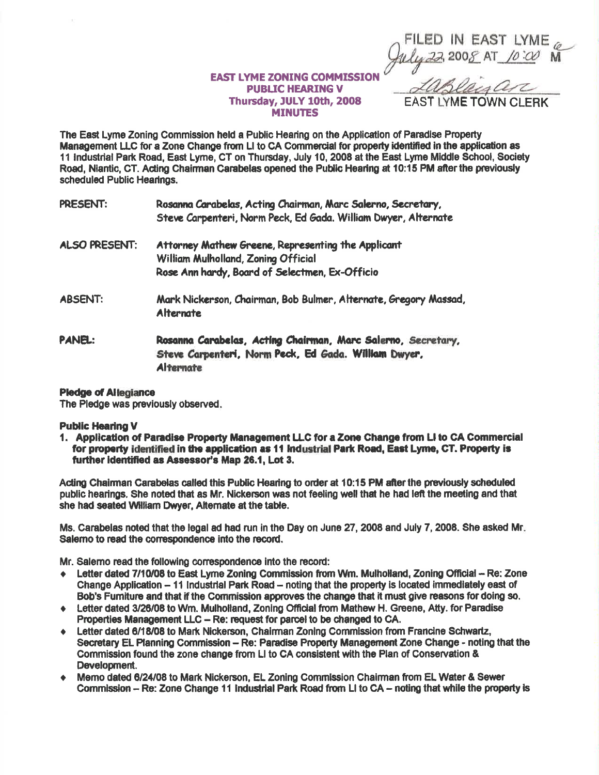| FILED IN EAST LYME<br>July 22, 2008 AT 10:00 M |  |  |
|------------------------------------------------|--|--|

**EAST LYME TOWN CLERK** 

## **EAST LYME ZONING COMMISSION PUBLIC HEARING V** Thursday, JULY 10th, 2008 **MINUTES**

The East Lyme Zoning Commission held a Public Hearing on the Application of Paradise Property Management LLC for a Zone Change from LI to CA Commercial for property identified in the application as 11 Industrial Park Road, East Lyme, CT on Thursday, July 10, 2008 at the East Lyme Middle School, Society Road, Niantic, CT, Acting Chairman Carabelas opened the Public Hearing at 10:15 PM after the previously scheduled Public Hearings.

| PRESENT:                          | Rosanna Carabelas, Acting Chairman, Marc Salerno, Secretary,   |  |  |  |  |
|-----------------------------------|----------------------------------------------------------------|--|--|--|--|
|                                   | Steve Carpenteri, Norm Peck, Ed Gada. William Dwyer, Alternate |  |  |  |  |
| A R. P. LEWIS CO., LANSING, MICH. |                                                                |  |  |  |  |

- ALSO PRESENT: Attorney Mathew Greene, Representing the Applicant William Mulholland, Zoning Official Rose Ann hardy, Board of Selectmen, Ex-Officio
- **ABSENT:** Mark Nickerson, Chairman, Bob Bulmer, Alternate, Gregory Massad, **Alternate**
- PANEL: Rosanna Carabelas, Acting Chairman, Marc Salerno, Secretary, Steve Carpenteri, Norm Peck, Ed Gada, William Dwyer, **Alternate**

## **Pledge of Allegiance**

The Pledge was previously observed.

## **Public Hearing V**

1. Application of Paradise Property Management LLC for a Zone Change from LI to CA Commercial for property identified in the application as 11 Industrial Park Road, East Lyme, CT. Property is further identified as Assessor's Map 26.1. Lot 3.

Acting Chairman Carabelas called this Public Hearing to order at 10:15 PM after the previously scheduled public hearings. She noted that as Mr. Nickerson was not feeling well that he had left the meeting and that she had seated William Dwyer, Alternate at the table.

Ms. Carabelas noted that the legal ad had run in the Day on June 27, 2008 and July 7, 2008. She asked Mr. Salemo to read the correspondence into the record.

Mr. Salemo read the following correspondence into the record:

- ← Letter dated 7/10/08 to East Lyme Zoning Commission from Wm. Mulholland. Zoning Official -- Re: Zone Change Application - 11 Industrial Park Road - noting that the property is located immediately east of Bob's Fumiture and that if the Commission approves the change that it must give reasons for doing so.
- Letter dated 3/26/08 to Wm. Mulholland, Zoning Official from Mathew H. Greene, Atty. for Paradise  $\bullet$ Properties Management LLC - Re: request for parcel to be changed to CA.
- Letter dated 6/18/08 to Mark Nickerson, Chairman Zoning Commission from Francine Schwartz,  $\bullet$ Secretary EL Planning Commission - Re: Paradise Property Management Zone Change - noting that the Commission found the zone change from LI to CA consistent with the Plan of Conservation & Development.
- Memo dated 6/24/08 to Mark Nickerson, EL Zoning Commission Chairman from EL Water & Sewer  $\bullet$ Commission - Re: Zone Change 11 Industrial Park Road from LI to CA - noting that while the property is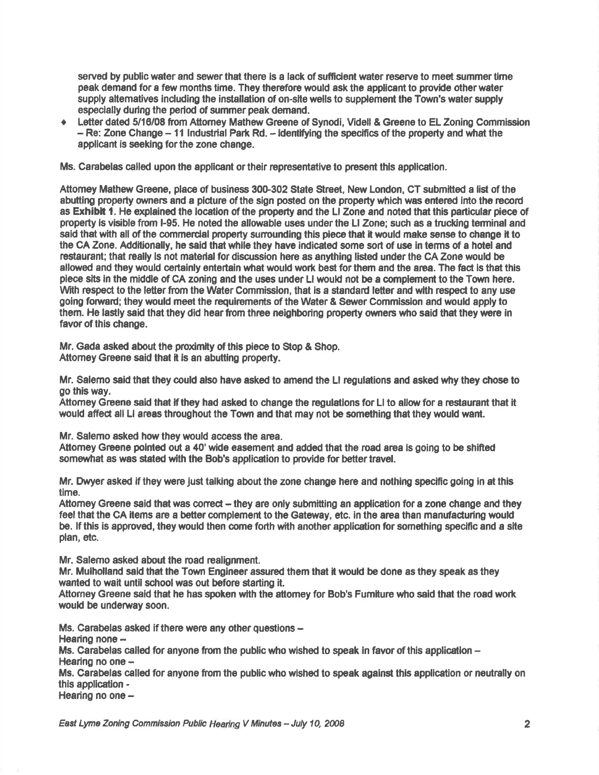served by public water and sewer that there is a lack of sufficient water reserve to meet summer time peak demand for a few months time. They therefore would ask the applicant to provide other water supply altematives including the installation of on-site wells to supplement the Town's water supply especially during the period of summer peak demand.

Letter dated 5/16/08 from Attorney Mathew Greene of Synodi, Videll & Greene to EL Zoning Commission  $-$  Re: Zone Change  $-$  11 industrial Park Rd.  $-$  identifying the specifics of the property and what the applicant is seeking for the zone change.

Ms. Carabelas called upon the applicant or their representative to present this application.

Attomey Mathew Greene, place of business 300-302 State Street, New London, CT submitted a list of the abutting property owners and a picture of the sign posted on the property which was entered into the record as **Exhibit 1.** He explained the location of the property and the LI Zone and noted that this particular piece of proporty ls visible from h95. He noted the allowable uses underthe Ll Zone; such as a trucking terminal and said that with all of the commercial property surrounding this piece that it would make sense to change it to the CA Zone. Additionally, he said that while they have indicated some sort of use ln terms of a hotel and restaurant; that really is not material for discussion here as anything listed under the CA Zone would be allowed and they would certainly entertain what would work best for them and the area. The fact is that this piece sits in the middle of CA zoning and the uses under LI would not be a complement to the Town here. With respect to the letter from the Water Commission, that is a standard letter and with respect to any use going forward; they would meet the requirements of the Water & Sewer Commission and would apply to them. He lastly said that they did hear from three neighboring property owners who said that they were in favor of this change.

Mr. Gada asked about the proximity of this piece to Stop & Shop. Attomey Greene said that it is an abutting property.

Mr. Salemo sald that they could also have asked to amend the Ll regulations and asked why they chose to go thls way.

Attomey Greene said that if they had asked to change the regulations for LI to allow for a restaurant that it would affed all Ll areas throughout the Town and that may not be something that they would want.

Mr. Salemo asked how they would access the area.

Attomey Greene pointed out a 40' wide easement and added that the road area is going to be shifted somewhat as was stated with the Bob's application to provide for better travel.

Mr. Dwyer asked if they were just talking about the zone change here and nothing specific going in at this time.

Attomey Greene said that was correct – they are only submitting an application for a zone change and they feel that the CA items are a better complement to the Gateway, etc. in the area than manufacturing would be. If this is approved, they would then come forth with another application for something specific and a site plan, etc.

Mr. Salemo asked about the road realignment.

Mr. Mulholland said that the Town Engineer assured them that it would be done as they speak as they wanted to wait until school was out before starting it.

Attorney Greene said that he has spoken with the attorney for Bob's Fumiture who said that the road work would be underway soon.

Ms. Carabelas asked if there were any other questions -

Hearing none  $-$ 

Ms. Carabelas called for anyone from the public who wished to speak in favor of this application  $-$ Hearing no one  $-$ 

Ms. Carabelas called for anyone from the public who wished to speak against this application or neutrally on this application -

Hearing no one  $-$